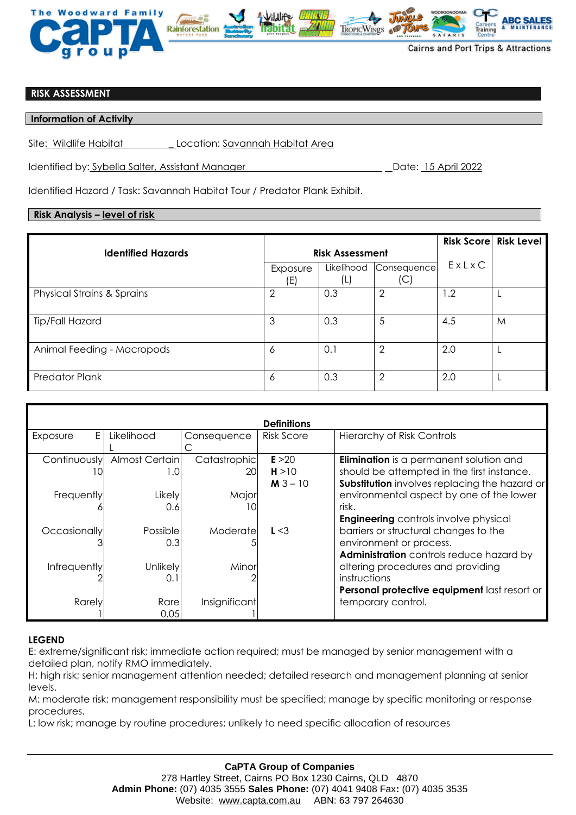

## **RISK ASSESSMENT**

**Information of Activity** 

Site: Wildlife Habitat \_ Location: Savannah Habitat Area

Identified by: Sybella Salter, Assistant Manager Date: 15 April 2022

Identified Hazard / Task: Savannah Habitat Tour / Predator Plank Exhibit.

## **Risk Analysis – level of risk**

|                                       |                        |                   |                    |       | <b>Risk Score Risk Level</b> |
|---------------------------------------|------------------------|-------------------|--------------------|-------|------------------------------|
| <b>Identified Hazards</b>             | <b>Risk Assessment</b> |                   |                    |       |                              |
|                                       | Exposure<br>(E)        | Likelihood<br>(L) | Consequence<br>(C) | ExLxC |                              |
| <b>Physical Strains &amp; Sprains</b> | $\overline{2}$         | 0.3               | $\overline{2}$     | 1.2   |                              |
| Tip/Fall Hazard                       | 3                      | 0.3               | 5                  | 4.5   | M                            |
| Animal Feeding - Macropods            | 6                      | 0.1               | 2                  | 2.0   |                              |
| <b>Predator Plank</b>                 | 6                      | 0.3               | 2                  | 2.0   |                              |

| <b>Definitions</b> |                 |               |                   |                                                |  |  |  |  |
|--------------------|-----------------|---------------|-------------------|------------------------------------------------|--|--|--|--|
| E<br>Exposure      | Likelihood      | Consequence   | <b>Risk Score</b> | <b>Hierarchy of Risk Controls</b>              |  |  |  |  |
|                    |                 |               |                   |                                                |  |  |  |  |
| Continuously       | Almost Certain  | Catastrophic  | E > 20            | <b>Elimination</b> is a permanent solution and |  |  |  |  |
| ΙO                 | I.O             | 201           | H > 10            | should be attempted in the first instance.     |  |  |  |  |
|                    |                 |               | $M3 - 10$         | Substitution involves replacing the hazard or  |  |  |  |  |
| Frequently         | Likely          | Major         |                   | environmental aspect by one of the lower       |  |  |  |  |
|                    | 0.6             | $\Omega$      |                   | risk.                                          |  |  |  |  |
|                    |                 |               |                   | <b>Engineering</b> controls involve physical   |  |  |  |  |
| Occasionally       | Possible        | Moderatel     | L < 3             | barriers or structural changes to the          |  |  |  |  |
|                    | 0.3             |               |                   | environment or process.                        |  |  |  |  |
|                    |                 |               |                   | Administration controls reduce hazard by       |  |  |  |  |
| Infrequently       | <b>Unlikely</b> | Minor         |                   | altering procedures and providing              |  |  |  |  |
|                    | 0.7             |               |                   | instructions                                   |  |  |  |  |
|                    |                 |               |                   | Personal protective equipment last resort or   |  |  |  |  |
| Rarely             | Rare            | Insignificant |                   | temporary control.                             |  |  |  |  |
|                    | 0.05            |               |                   |                                                |  |  |  |  |

## **LEGEND**

E: extreme/significant risk; immediate action required; must be managed by senior management with a detailed plan, notify RMO immediately.

H: high risk; senior management attention needed; detailed research and management planning at senior levels.

M: moderate risk; management responsibility must be specified; manage by specific monitoring or response procedures.

L: low risk; manage by routine procedures; unlikely to need specific allocation of resources